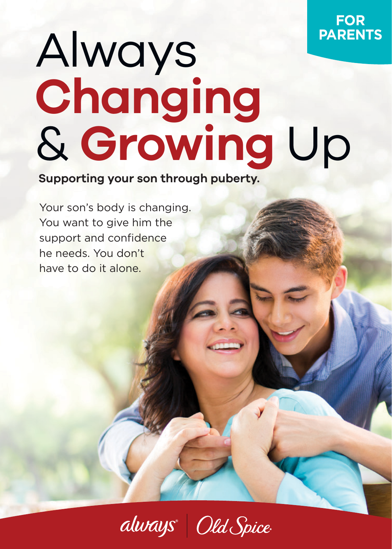## Always **Changing** & **Growing** Up

**Supporting your son through puberty.**

Your son's body is changing. You want to give him the support and confidence he needs. You don't have to do it alone.